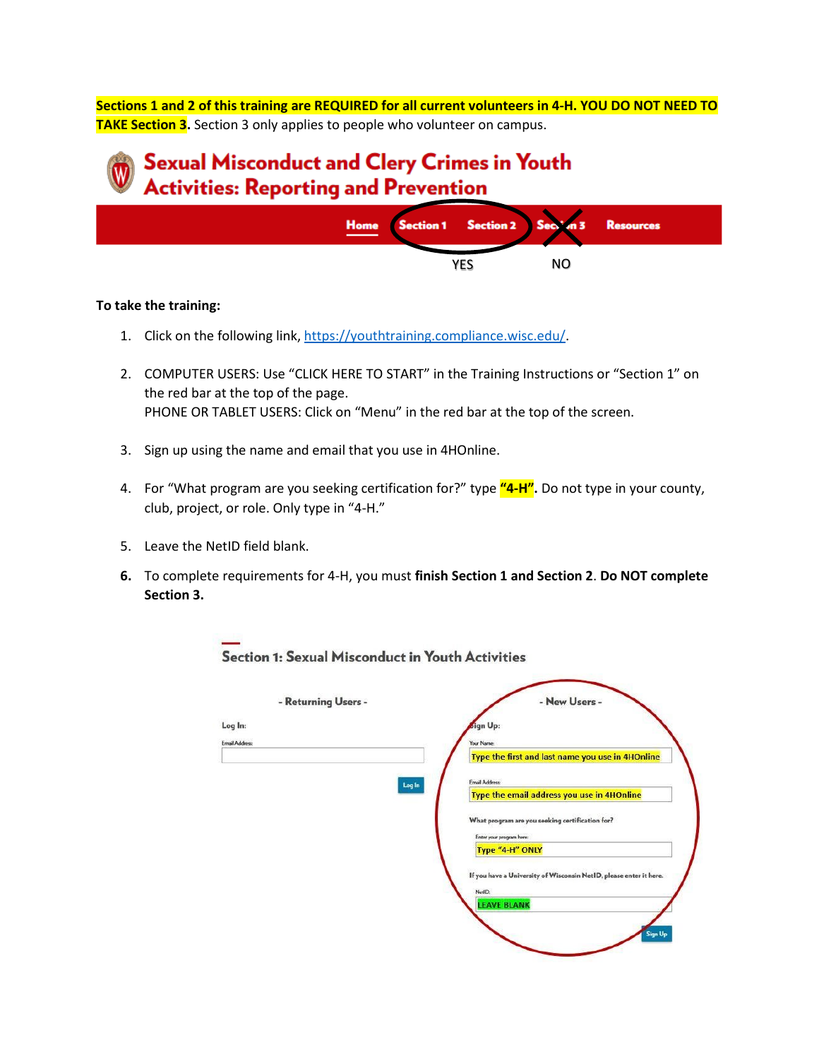**Sections 1 and 2 of this training are REQUIRED for all current volunteers in 4-H. YOU DO NOT NEED TO TAKE Section 3.** Section 3 only applies to people who volunteer on campus.

## **Sexual Misconduct and Clery Crimes in Youth Activities: Reporting and Prevention**



## **To take the training:**

- 1. Click on the following link[, https://youthtraining.compliance.wisc.edu/.](https://youthtraining.compliance.wisc.edu/)
- 2. COMPUTER USERS: Use "CLICK HERE TO START" in the Training Instructions or "Section 1" on the red bar at the top of the page. PHONE OR TABLET USERS: Click on "Menu" in the red bar at the top of the screen.
- 3. Sign up using the name and email that you use in 4HOnline.
- 4. For "What program are you seeking certification for?" type **"4-H".** Do not type in your county, club, project, or role. Only type in "4-H."
- 5. Leave the NetID field blank.
- **6.** To complete requirements for 4-H, you must **finish Section 1 and Section 2**. **Do NOT complete Section 3.**

**COLLAND** 

| - Returning Users -   | - New Users -                                                      |
|-----------------------|--------------------------------------------------------------------|
| Log In:               | <b>Sign Up:</b>                                                    |
| <b>Email Address:</b> | Your Name:                                                         |
|                       | Type the first and last name you use in 4HOnline                   |
| Log In                | Email Address:                                                     |
|                       | Type the email address you use in 4HOnline                         |
|                       | What program are you seeking certification for?                    |
|                       | Enter your program here:                                           |
|                       | Type "4-H" ONLY                                                    |
|                       | If you have a University of Wisconsin NetID, please enter it here. |
|                       | NetID:<br><b>LEAVE BLANK</b>                                       |
|                       |                                                                    |